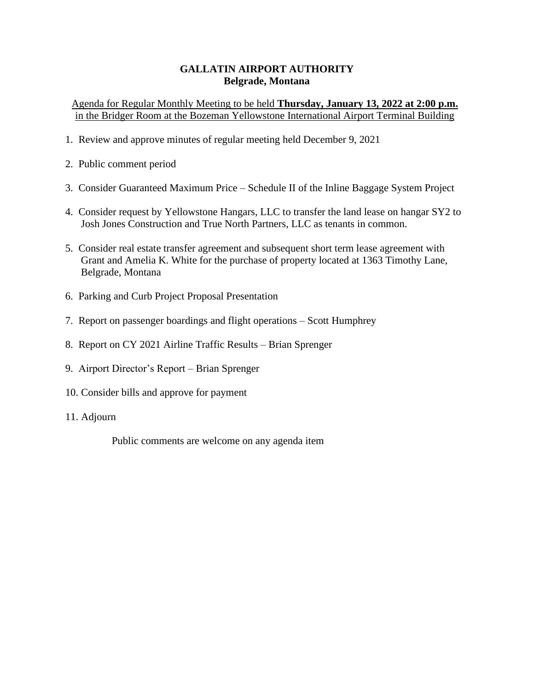Agenda for Regular Monthly Meeting to be held **Thursday, January 13, 2022 at 2:00 p.m.** in the Bridger Room at the Bozeman Yellowstone International Airport Terminal Building

- 1. Review and approve minutes of regular meeting held December 9, 2021
- 2. Public comment period
- 3. Consider Guaranteed Maximum Price Schedule II of the Inline Baggage System Project
- 4. Consider request by Yellowstone Hangars, LLC to transfer the land lease on hangar SY2 to Josh Jones Construction and True North Partners, LLC as tenants in common.
- 5. Consider real estate transfer agreement and subsequent short term lease agreement with Grant and Amelia K. White for the purchase of property located at 1363 Timothy Lane, Belgrade, Montana
- 6. Parking and Curb Project Proposal Presentation
- 7. Report on passenger boardings and flight operations Scott Humphrey
- 8. Report on CY 2021 Airline Traffic Results Brian Sprenger
- 9. Airport Director's Report Brian Sprenger
- 10. Consider bills and approve for payment
- 11. Adjourn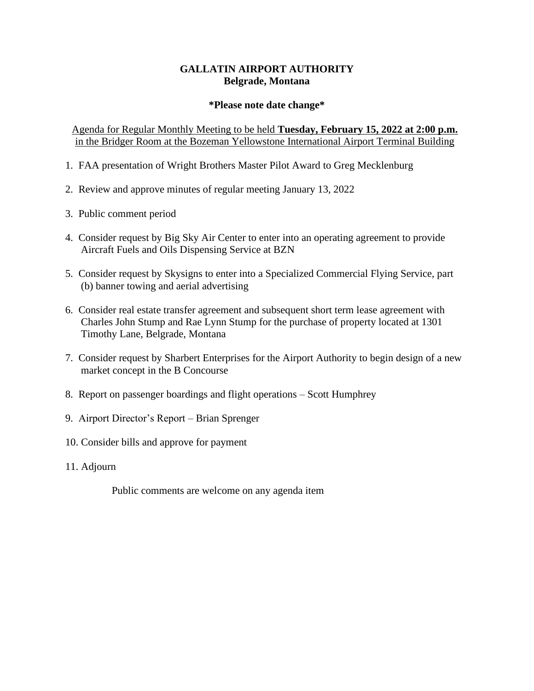#### **\*Please note date change\***

Agenda for Regular Monthly Meeting to be held **Tuesday, February 15, 2022 at 2:00 p.m.** in the Bridger Room at the Bozeman Yellowstone International Airport Terminal Building

- 1. FAA presentation of Wright Brothers Master Pilot Award to Greg Mecklenburg
- 2. Review and approve minutes of regular meeting January 13, 2022
- 3. Public comment period
- 4. Consider request by Big Sky Air Center to enter into an operating agreement to provide Aircraft Fuels and Oils Dispensing Service at BZN
- 5. Consider request by Skysigns to enter into a Specialized Commercial Flying Service, part (b) banner towing and aerial advertising
- 6. Consider real estate transfer agreement and subsequent short term lease agreement with Charles John Stump and Rae Lynn Stump for the purchase of property located at 1301 Timothy Lane, Belgrade, Montana
- 7. Consider request by Sharbert Enterprises for the Airport Authority to begin design of a new market concept in the B Concourse
- 8. Report on passenger boardings and flight operations Scott Humphrey
- 9. Airport Director's Report Brian Sprenger
- 10. Consider bills and approve for payment
- 11. Adjourn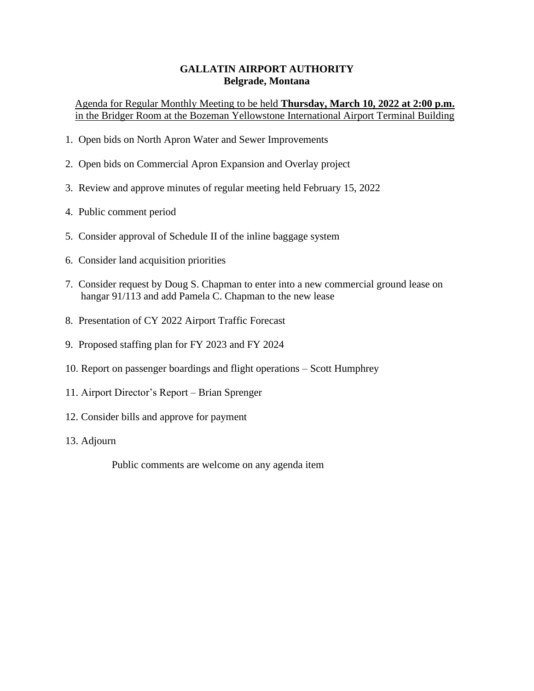Agenda for Regular Monthly Meeting to be held **Thursday, March 10, 2022 at 2:00 p.m.** in the Bridger Room at the Bozeman Yellowstone International Airport Terminal Building

- 1. Open bids on North Apron Water and Sewer Improvements
- 2. Open bids on Commercial Apron Expansion and Overlay project
- 3. Review and approve minutes of regular meeting held February 15, 2022
- 4. Public comment period
- 5. Consider approval of Schedule II of the inline baggage system
- 6. Consider land acquisition priorities
- 7. Consider request by Doug S. Chapman to enter into a new commercial ground lease on hangar 91/113 and add Pamela C. Chapman to the new lease
- 8. Presentation of CY 2022 Airport Traffic Forecast
- 9. Proposed staffing plan for FY 2023 and FY 2024
- 10. Report on passenger boardings and flight operations Scott Humphrey
- 11. Airport Director's Report Brian Sprenger
- 12. Consider bills and approve for payment
- 13. Adjourn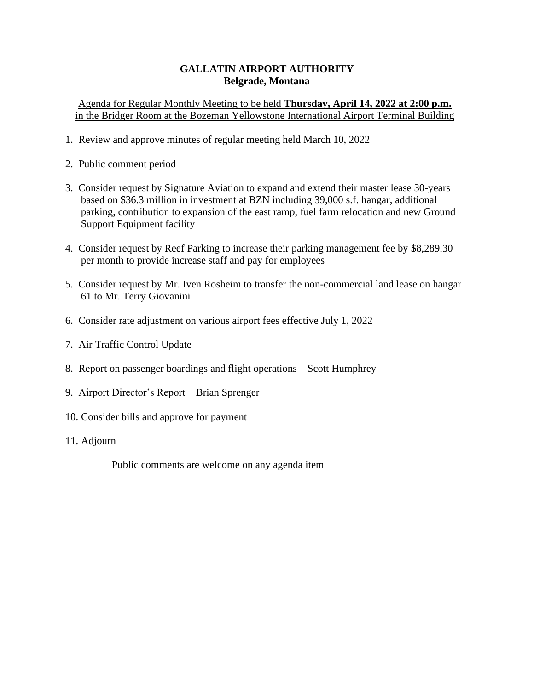Agenda for Regular Monthly Meeting to be held **Thursday, April 14, 2022 at 2:00 p.m.** in the Bridger Room at the Bozeman Yellowstone International Airport Terminal Building

- 1. Review and approve minutes of regular meeting held March 10, 2022
- 2. Public comment period
- 3. Consider request by Signature Aviation to expand and extend their master lease 30-years based on \$36.3 million in investment at BZN including 39,000 s.f. hangar, additional parking, contribution to expansion of the east ramp, fuel farm relocation and new Ground Support Equipment facility
- 4. Consider request by Reef Parking to increase their parking management fee by \$8,289.30 per month to provide increase staff and pay for employees
- 5. Consider request by Mr. Iven Rosheim to transfer the non-commercial land lease on hangar 61 to Mr. Terry Giovanini
- 6. Consider rate adjustment on various airport fees effective July 1, 2022
- 7. Air Traffic Control Update
- 8. Report on passenger boardings and flight operations Scott Humphrey
- 9. Airport Director's Report Brian Sprenger
- 10. Consider bills and approve for payment
- 11. Adjourn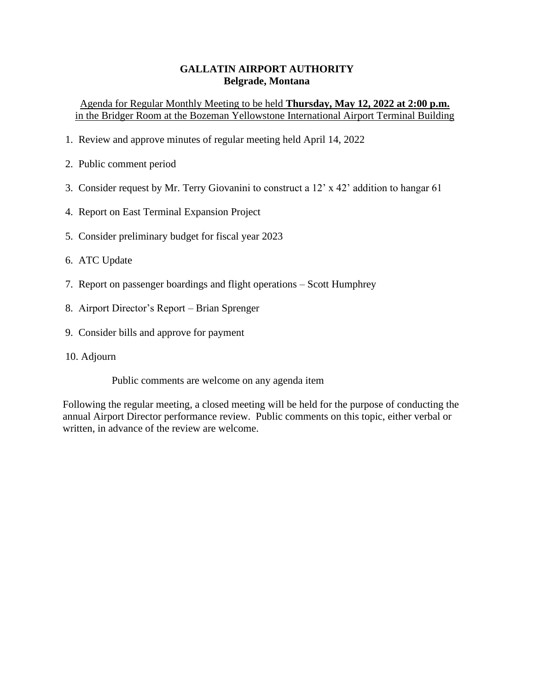# Agenda for Regular Monthly Meeting to be held **Thursday, May 12, 2022 at 2:00 p.m.** in the Bridger Room at the Bozeman Yellowstone International Airport Terminal Building

- 1. Review and approve minutes of regular meeting held April 14, 2022
- 2. Public comment period
- 3. Consider request by Mr. Terry Giovanini to construct a 12' x 42' addition to hangar 61
- 4. Report on East Terminal Expansion Project
- 5. Consider preliminary budget for fiscal year 2023
- 6. ATC Update
- 7. Report on passenger boardings and flight operations Scott Humphrey
- 8. Airport Director's Report Brian Sprenger
- 9. Consider bills and approve for payment
- 10. Adjourn

Public comments are welcome on any agenda item

Following the regular meeting, a closed meeting will be held for the purpose of conducting the annual Airport Director performance review. Public comments on this topic, either verbal or written, in advance of the review are welcome.